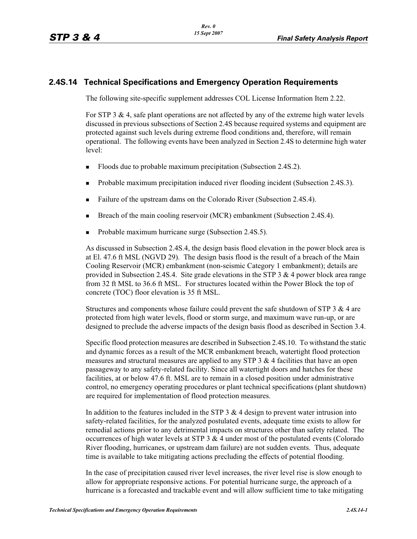## **2.4S.14 Technical Specifications and Emergency Operation Requirements**

The following site-specific supplement addresses COL License Information Item 2.22.

For STP 3  $\&$  4, safe plant operations are not affected by any of the extreme high water levels discussed in previous subsections of Section 2.4S because required systems and equipment are protected against such levels during extreme flood conditions and, therefore, will remain operational. The following events have been analyzed in Section 2.4S to determine high water level:

- -Floods due to probable maximum precipitation (Subsection 2.4S.2).
- -Probable maximum precipitation induced river flooding incident (Subsection 2.4S.3).
- -Failure of the upstream dams on the Colorado River (Subsection 2.4S.4).
- -Breach of the main cooling reservoir (MCR) embankment (Subsection 2.4S.4).
- -Probable maximum hurricane surge (Subsection 2.4S.5).

As discussed in Subsection 2.4S.4, the design basis flood elevation in the power block area is at El. 47.6 ft MSL (NGVD 29). The design basis flood is the result of a breach of the Main Cooling Reservoir (MCR) embankment (non-seismic Category 1 embankment); details are provided in Subsection 2.4S.4. Site grade elevations in the STP 3  $\&$  4 power block area range from 32 ft MSL to 36.6 ft MSL. For structures located within the Power Block the top of concrete (TOC) floor elevation is 35 ft MSL.

Structures and components whose failure could prevent the safe shutdown of STP 3 & 4 are protected from high water levels, flood or storm surge, and maximum wave run-up, or are designed to preclude the adverse impacts of the design basis flood as described in Section 3.4.

Specific flood protection measures are described in Subsection 2.4S.10. To withstand the static and dynamic forces as a result of the MCR embankment breach, watertight flood protection measures and structural measures are applied to any STP  $3 \& 4$  facilities that have an open passageway to any safety-related facility. Since all watertight doors and hatches for these facilities, at or below 47.6 ft. MSL are to remain in a closed position under administrative control, no emergency operating procedures or plant technical specifications (plant shutdown) are required for implementation of flood protection measures.

In addition to the features included in the STP  $3 \& 4$  design to prevent water intrusion into safety-related facilities, for the analyzed postulated events, adequate time exists to allow for remedial actions prior to any detrimental impacts on structures other than safety related. The occurrences of high water levels at STP  $3 \& 4$  under most of the postulated events (Colorado River flooding, hurricanes, or upstream dam failure) are not sudden events. Thus, adequate time is available to take mitigating actions precluding the effects of potential flooding.

In the case of precipitation caused river level increases, the river level rise is slow enough to allow for appropriate responsive actions. For potential hurricane surge, the approach of a hurricane is a forecasted and trackable event and will allow sufficient time to take mitigating